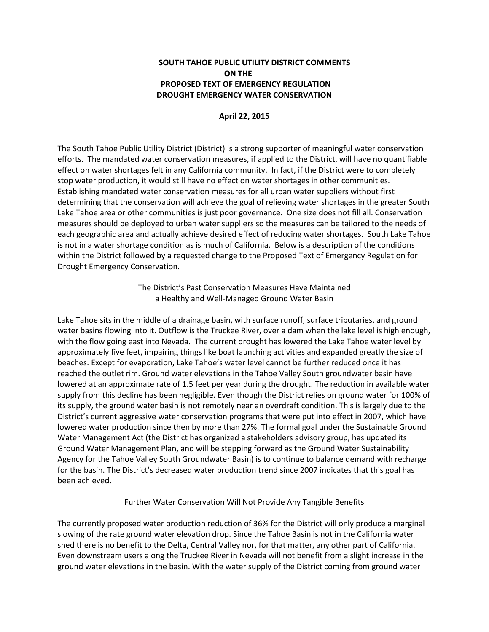# **SOUTH TAHOE PUBLIC UTILITY DISTRICT COMMENTS ON THE PROPOSED TEXT OF EMERGENCY REGULATION DROUGHT EMERGENCY WATER CONSERVATION**

#### **April 22, 2015**

The South Tahoe Public Utility District (District) is a strong supporter of meaningful water conservation efforts. The mandated water conservation measures, if applied to the District, will have no quantifiable effect on water shortages felt in any California community. In fact, if the District were to completely stop water production, it would still have no effect on water shortages in other communities. Establishing mandated water conservation measures for all urban water suppliers without first determining that the conservation will achieve the goal of relieving water shortages in the greater South Lake Tahoe area or other communities is just poor governance. One size does not fill all. Conservation measures should be deployed to urban water suppliers so the measures can be tailored to the needs of each geographic area and actually achieve desired effect of reducing water shortages. South Lake Tahoe is not in a water shortage condition as is much of California. Below is a description of the conditions within the District followed by a requested change to the Proposed Text of Emergency Regulation for Drought Emergency Conservation.

### The District's Past Conservation Measures Have Maintained a Healthy and Well-Managed Ground Water Basin

Lake Tahoe sits in the middle of a drainage basin, with surface runoff, surface tributaries, and ground water basins flowing into it. Outflow is the Truckee River, over a dam when the lake level is high enough, with the flow going east into Nevada. The current drought has lowered the Lake Tahoe water level by approximately five feet, impairing things like boat launching activities and expanded greatly the size of beaches. Except for evaporation, Lake Tahoe's water level cannot be further reduced once it has reached the outlet rim. Ground water elevations in the Tahoe Valley South groundwater basin have lowered at an approximate rate of 1.5 feet per year during the drought. The reduction in available water supply from this decline has been negligible. Even though the District relies on ground water for 100% of its supply, the ground water basin is not remotely near an overdraft condition. This is largely due to the District's current aggressive water conservation programs that were put into effect in 2007, which have lowered water production since then by more than 27%. The formal goal under the Sustainable Ground Water Management Act (the District has organized a stakeholders advisory group, has updated its Ground Water Management Plan, and will be stepping forward as the Ground Water Sustainability Agency for the Tahoe Valley South Groundwater Basin) is to continue to balance demand with recharge for the basin. The District's decreased water production trend since 2007 indicates that this goal has been achieved.

#### Further Water Conservation Will Not Provide Any Tangible Benefits

The currently proposed water production reduction of 36% for the District will only produce a marginal slowing of the rate ground water elevation drop. Since the Tahoe Basin is not in the California water shed there is no benefit to the Delta, Central Valley nor, for that matter, any other part of California. Even downstream users along the Truckee River in Nevada will not benefit from a slight increase in the ground water elevations in the basin. With the water supply of the District coming from ground water